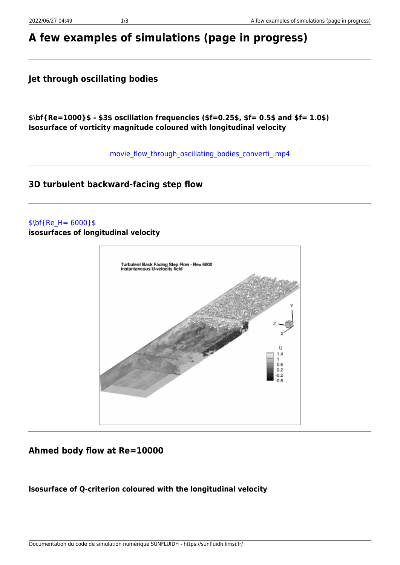# **A few examples of simulations (page in progress)**

# **Jet through oscillating bodies**

**\$\bf{Re=1000}\$ - \$3\$ oscillation frequencies (\$f=0.25\$, \$f= 0.5\$ and \$f= 1.0\$) Isosurface of vorticity magnitude coloured with longitudinal velocity**

movie flow through oscillating bodies converti .mp4

# **3D turbulent backward-facing step flow**

#### $$ \bf{Re} H = 6000$ }\$

**isosurfaces of longitudinal velocity**



# **Ahmed body flow at Re=10000**

### **Isosurface of Q-criterion coloured with the longitudinal velocity**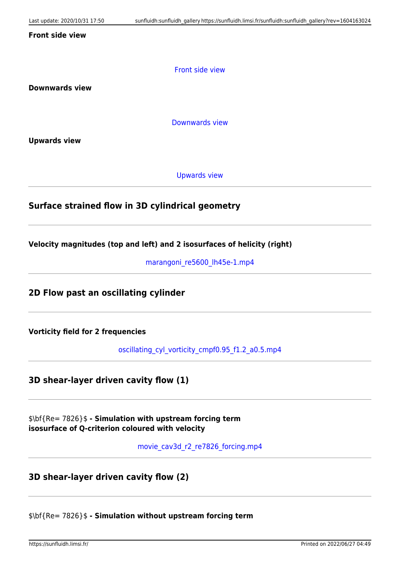#### **Front side view**

[Front side view](https://sunfluidh.limsi.fr/_media/sunfluidh:movie_cav3d_r2_re7826_fsview_mq.mp4?cache=)

**Downwards view**

[Downwards view](https://sunfluidh.limsi.fr/_media/sunfluidh:movie_cav3d_r2_re7826_dwview_mq.mp4?cache=)

**Upwards view**

[Upwards view](https://sunfluidh.limsi.fr/_media/sunfluidh:movie_cav3d_r2_re7826_uwview_mq.mp4?cache=)

#### **Surface strained flow in 3D cylindrical geometry**

**Velocity magnitudes (top and left) and 2 isosurfaces of helicity (right)**

marangoni re5600 lh45e-1.mp4

**2D Flow past an oscillating cylinder**

**Vorticity field for 2 frequencies**

oscillating cyl\_vorticity\_cmpf0.95\_f1.2\_a0.5.mp4

**3D shear-layer driven cavity flow (1)**

\$\bf{Re= 7826}\$ **- Simulation with upstream forcing term isosurface of Q-criterion coloured with velocity**

[movie\\_cav3d\\_r2\\_re7826\\_forcing.mp4](https://sunfluidh.limsi.fr/_media/sunfluidh:movie_cav3d_r2_re7826_forcing.mp4?cache=)

**3D shear-layer driven cavity flow (2)**

\$\bf{Re= 7826}\$ **- Simulation without upstream forcing term**